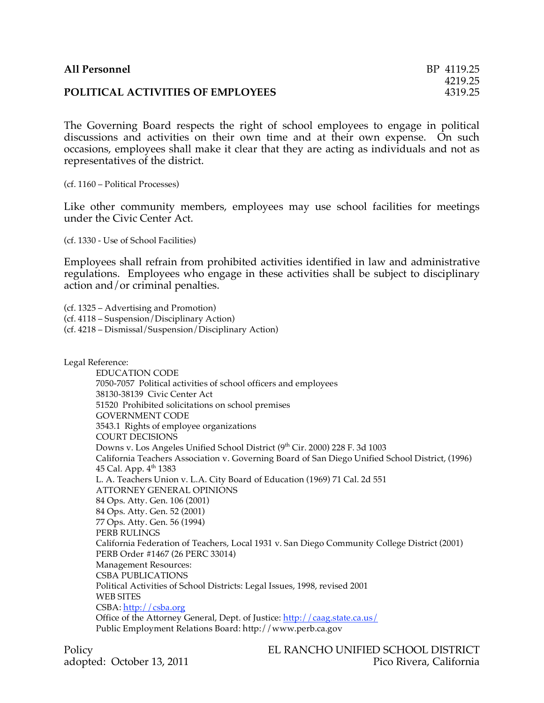The Governing Board respects the right of school employees to engage in political discussions and activities on their own time and at their own expense. On such occasions, employees shall make it clear that they are acting as individuals and not as representatives of the district.

(cf. 1160 – Political Processes)

Like other community members, employees may use school facilities for meetings under the Civic Center Act.

(cf. 1330 - Use of School Facilities)

Employees shall refrain from prohibited activities identified in law and administrative regulations. Employees who engage in these activities shall be subject to disciplinary action and/or criminal penalties.

(cf. 1325 – Advertising and Promotion)

(cf. 4118 – Suspension/Disciplinary Action)

(cf. 4218 – Dismissal/Suspension/Disciplinary Action)

Legal Reference:

EDUCATION CODE 7050-7057 Political activities of school officers and employees 38130-38139 Civic Center Act 51520 Prohibited solicitations on school premises GOVERNMENT CODE 3543.1 Rights of employee organizations COURT DECISIONS Downs v. Los Angeles Unified School District (9<sup>th</sup> Cir. 2000) 228 F. 3d 1003 California Teachers Association v. Governing Board of San Diego Unified School District, (1996) 45 Cal. App. 4<sup>th</sup> 1383 L. A. Teachers Union v. L.A. City Board of Education (1969) 71 Cal. 2d 551 ATTORNEY GENERAL OPINIONS 84 Ops. Atty. Gen. 106 (2001) 84 Ops. Atty. Gen. 52 (2001) 77 Ops. Atty. Gen. 56 (1994) PERB RULINGS California Federation of Teachers, Local 1931 v. San Diego Community College District (2001) PERB Order #1467 (26 PERC 33014) Management Resources: CSBA PUBLICATIONS Political Activities of School Districts: Legal Issues, 1998, revised 2001 WEB SITES CSBA: http://csba.org Office of the Attorney General, Dept. of Justice: http://caag.state.ca.us/ Public Employment Relations Board: http://www.perb.ca.gov

Policy EL RANCHO UNIFIED SCHOOL DISTRICT adopted: October 13, 2011 **Pico Rivera, California**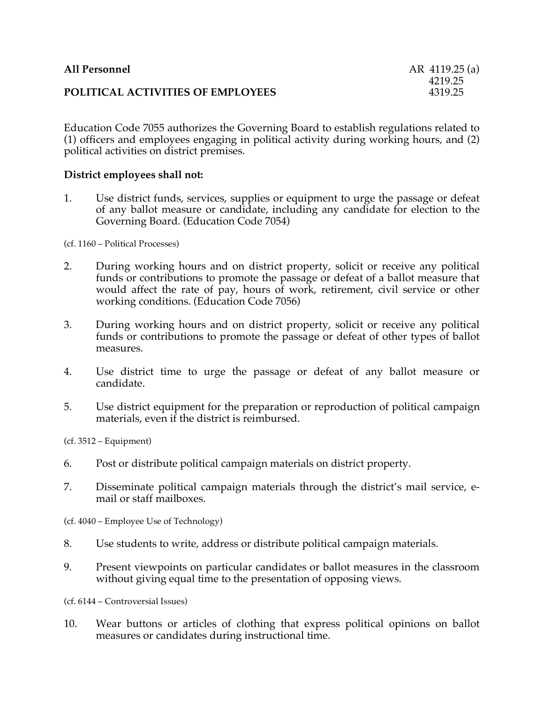| All Personnel                     | AR 4119.25 (a)     |
|-----------------------------------|--------------------|
| POLITICAL ACTIVITIES OF EMPLOYEES | 4219.25<br>4319.25 |

Education Code 7055 authorizes the Governing Board to establish regulations related to (1) officers and employees engaging in political activity during working hours, and (2) political activities on district premises.

## **District employees shall not:**

1. Use district funds, services, supplies or equipment to urge the passage or defeat of any ballot measure or candidate, including any candidate for election to the Governing Board. (Education Code 7054)

(cf. 1160 – Political Processes)

- 2. During working hours and on district property, solicit or receive any political funds or contributions to promote the passage or defeat of a ballot measure that would affect the rate of pay, hours of work, retirement, civil service or other working conditions. (Education Code 7056)
- 3. During working hours and on district property, solicit or receive any political funds or contributions to promote the passage or defeat of other types of ballot measures.
- 4. Use district time to urge the passage or defeat of any ballot measure or candidate.
- 5. Use district equipment for the preparation or reproduction of political campaign materials, even if the district is reimbursed.

(cf. 3512 – Equipment)

- 6. Post or distribute political campaign materials on district property.
- 7. Disseminate political campaign materials through the district's mail service, email or staff mailboxes.

(cf. 4040 – Employee Use of Technology)

- 8. Use students to write, address or distribute political campaign materials.
- 9. Present viewpoints on particular candidates or ballot measures in the classroom without giving equal time to the presentation of opposing views.

(cf. 6144 – Controversial Issues)

10. Wear buttons or articles of clothing that express political opinions on ballot measures or candidates during instructional time.